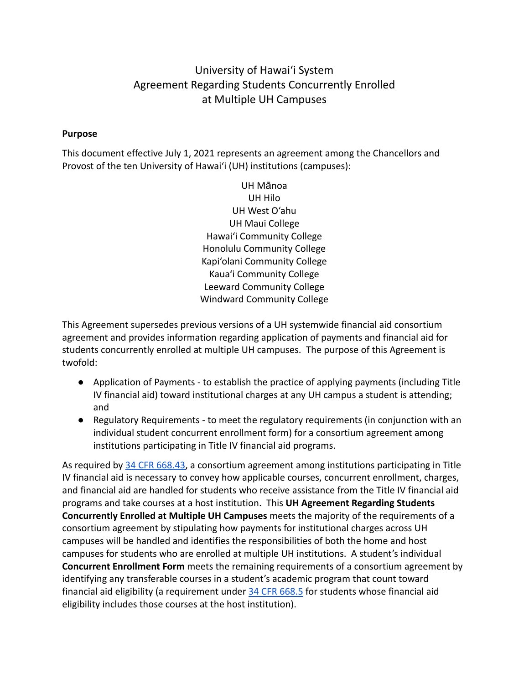### University of Hawai'i System Agreement Regarding Students Concurrently Enrolled at Multiple UH Campuses

#### **Purpose**

This document effective July 1, 2021 represents an agreement among the Chancellors and Provost of the ten University of Hawai'i (UH) institutions (campuses):

> UH Mānoa UH Hilo UH West O'ahu UH Maui College Hawai'i Community College Honolulu Community College Kapi'olani Community College Kaua'i Community College Leeward Community College Windward Community College

This Agreement supersedes previous versions of a UH systemwide financial aid consortium agreement and provides information regarding application of payments and financial aid for students concurrently enrolled at multiple UH campuses. The purpose of this Agreement is twofold:

- Application of Payments to establish the practice of applying payments (including Title IV financial aid) toward institutional charges at any UH campus a student is attending; and
- Regulatory Requirements to meet the regulatory requirements (in conjunction with an individual student concurrent enrollment form) for a consortium agreement among institutions participating in Title IV financial aid programs.

As required by [34 CFR 668.43,](https://www.law.cornell.edu/cfr/text/34/668.43) a consortium agreement among institutions participating in Title IV financial aid is necessary to convey how applicable courses, concurrent enrollment, charges, and financial aid are handled for students who receive assistance from the Title IV financial aid programs and take courses at a host institution. This **UH Agreement Regarding Students Concurrently Enrolled at Multiple UH Campuses** meets the majority of the requirements of a consortium agreement by stipulating how payments for institutional charges across UH campuses will be handled and identifies the responsibilities of both the home and host campuses for students who are enrolled at multiple UH institutions. A student's individual **Concurrent Enrollment Form** meets the remaining requirements of a consortium agreement by identifying any transferable courses in a student's academic program that count toward financial aid eligibility (a requirement under 34 [CFR 668.5](https://www.law.cornell.edu/cfr/text/34/668.5) for students whose financial aid eligibility includes those courses at the host institution).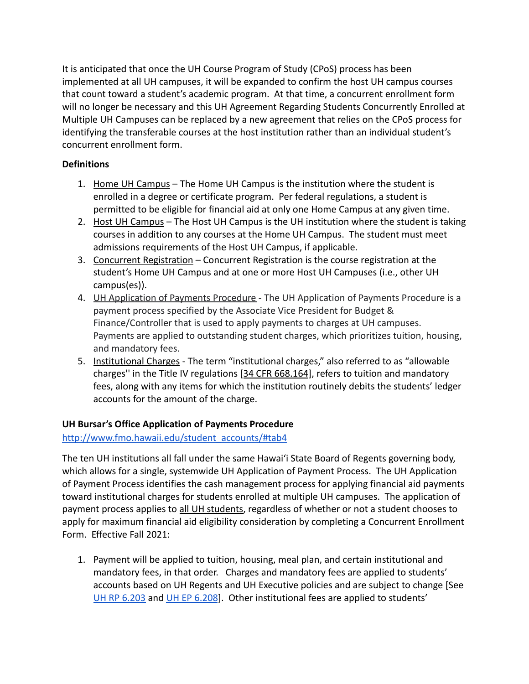It is anticipated that once the UH Course Program of Study (CPoS) process has been implemented at all UH campuses, it will be expanded to confirm the host UH campus courses that count toward a student's academic program. At that time, a concurrent enrollment form will no longer be necessary and this UH Agreement Regarding Students Concurrently Enrolled at Multiple UH Campuses can be replaced by a new agreement that relies on the CPoS process for identifying the transferable courses at the host institution rather than an individual student's concurrent enrollment form.

#### **Definitions**

- 1. Home UH Campus The Home UH Campus is the institution where the student is enrolled in a degree or certificate program. Per federal regulations, a student is permitted to be eligible for financial aid at only one Home Campus at any given time.
- 2. Host UH Campus The Host UH Campus is the UH institution where the student is taking courses in addition to any courses at the Home UH Campus. The student must meet admissions requirements of the Host UH Campus, if applicable.
- 3. Concurrent Registration Concurrent Registration is the course registration at the student's Home UH Campus and at one or more Host UH Campuses (i.e., other UH campus(es)).
- 4. **UH Application of Payments Procedure** The UH Application of Payments Procedure is a payment process specified by the Associate Vice President for Budget & Finance/Controller that is used to apply payments to charges at UH campuses. Payments are applied to outstanding student charges, which prioritizes tuition, housing, and mandatory fees.
- 5. Institutional Charges The term "institutional charges," also referred to as "allowable charges'' in the Title IV regulations [[34 CFR 668.164](https://www.law.cornell.edu/cfr/text/34/668.164)], refers to tuition and mandatory fees, along with any items for which the institution routinely debits the students' ledger accounts for the amount of the charge.

#### **UH Bursar's Office Application of Payments Procedure**

#### [http://www.fmo.hawaii.edu/student\\_accounts/#tab4](http://www.fmo.hawaii.edu/student_accounts/#tab4)

The ten UH institutions all fall under the same Hawai'i State Board of Regents governing body, which allows for a single, systemwide UH Application of Payment Process. The UH Application of Payment Process identifies the cash management process for applying financial aid payments toward institutional charges for students enrolled at multiple UH campuses. The application of payment process applies to all UH students, regardless of whether or not a student chooses to apply for maximum financial aid eligibility consideration by completing a Concurrent Enrollment Form. Effective Fall 2021:

1. Payment will be applied to tuition, housing, meal plan, and certain institutional and mandatory fees, in that order. Charges and mandatory fees are applied to students' accounts based on UH Regents and UH Executive policies and are subject to change [See [UH RP 6.203](http://www.hawaii.edu/policy/docs/temp/rp6.203.pdf) and [UH EP 6.208](https://www.hawaii.edu/policy/?action=viewPolicy&policySection=ep&policyChapter=6&policyNumber=208)]. Other institutional fees are applied to students'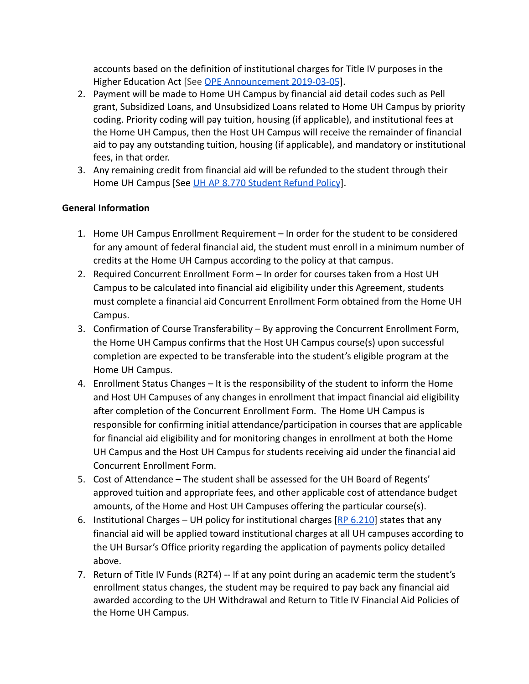accounts based on the definition of institutional charges for Title IV purposes in the Higher Education Act [See [OPE Announcement 2019-03-05](https://fsapartners.ed.gov/knowledge-center/library/electronic-announcements/2019-03-05/ope-announcements-subject-determining-prorated-amount-charges-associated-payment-period)].

- 2. Payment will be made to Home UH Campus by financial aid detail codes such as Pell grant, Subsidized Loans, and Unsubsidized Loans related to Home UH Campus by priority coding. Priority coding will pay tuition, housing (if applicable), and institutional fees at the Home UH Campus, then the Host UH Campus will receive the remainder of financial aid to pay any outstanding tuition, housing (if applicable), and mandatory or institutional fees, in that order.
- 3. Any remaining credit from financial aid will be refunded to the student through their Home UH Campus [See [UH AP 8.770 Student Refund Policy](http://www.hawaii.edu/policy/?action=viewPolicy&policySection=ap&policyChapter=8&policyNumber=770)].

#### **General Information**

- 1. Home UH Campus Enrollment Requirement In order for the student to be considered for any amount of federal financial aid, the student must enroll in a minimum number of credits at the Home UH Campus according to the policy at that campus.
- 2. Required Concurrent Enrollment Form In order for courses taken from a Host UH Campus to be calculated into financial aid eligibility under this Agreement, students must complete a financial aid Concurrent Enrollment Form obtained from the Home UH Campus.
- 3. Confirmation of Course Transferability By approving the Concurrent Enrollment Form, the Home UH Campus confirms that the Host UH Campus course(s) upon successful completion are expected to be transferable into the student's eligible program at the Home UH Campus.
- 4. Enrollment Status Changes It is the responsibility of the student to inform the Home and Host UH Campuses of any changes in enrollment that impact financial aid eligibility after completion of the Concurrent Enrollment Form. The Home UH Campus is responsible for confirming initial attendance/participation in courses that are applicable for financial aid eligibility and for monitoring changes in enrollment at both the Home UH Campus and the Host UH Campus for students receiving aid under the financial aid Concurrent Enrollment Form.
- 5. Cost of Attendance The student shall be assessed for the UH Board of Regents' approved tuition and appropriate fees, and other applicable cost of attendance budget amounts, of the Home and Host UH Campuses offering the particular course(s).
- 6. Institutional Charges UH policy for institutional charges  $[RP 6.210]$  $[RP 6.210]$  $[RP 6.210]$  states that any financial aid will be applied toward institutional charges at all UH campuses according to the UH Bursar's Office priority regarding the application of payments policy detailed above.
- 7. Return of Title IV Funds (R2T4) -- If at any point during an academic term the student's enrollment status changes, the student may be required to pay back any financial aid awarded according to the UH Withdrawal and Return to Title IV Financial Aid Policies of the Home UH Campus.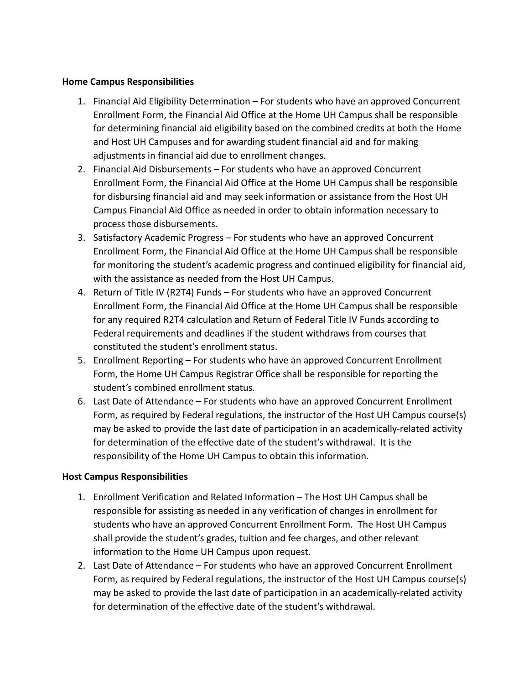#### **Home Campus Responsibilities**

- 1. Financial Aid Eligibility Determination For students who have an approved Concurrent Enrollment Form, the Financial Aid Office at the Home UH Campus shall be responsible for determining financial aid eligibility based on the combined credits at both the Home and Host UH Campuses and for awarding student financial aid and for making adjustments in financial aid due to enrollment changes.
- 2. Financial Aid Disbursements For students who have an approved Concurrent Enrollment Form, the Financial Aid Office at the Home UH Campus shall be responsible for disbursing financial aid and may seek information or assistance from the Host UH Campus Financial Aid Office as needed in order to obtain information necessary to process those disbursements.
- 3. Satisfactory Academic Progress For students who have an approved Concurrent Enrollment Form, the Financial Aid Office at the Home UH Campus shall be responsible for monitoring the student's academic progress and continued eligibility for financial aid, with the assistance as needed from the Host UH Campus.
- 4. Return of Title IV (R2T4) Funds For students who have an approved Concurrent Enrollment Form, the Financial Aid Office at the Home UH Campus shall be responsible for any required R2T4 calculation and Return of Federal Title IV Funds according to Federal requirements and deadlines if the student withdraws from courses that constituted the student's enrollment status.
- 5. Enrollment Reporting For students who have an approved Concurrent Enrollment Form, the Home UH Campus Registrar Office shall be responsible for reporting the student's combined enrollment status.
- 6. Last Date of Attendance For students who have an approved Concurrent Enrollment Form, as required by Federal regulations, the instructor of the Host UH Campus course(s) may be asked to provide the last date of participation in an academically-related activity for determination of the effective date of the student's withdrawal. It is the responsibility of the Home UH Campus to obtain this information.

#### **Host Campus Responsibilities**

- 1. Enrollment Verification and Related Information The Host UH Campus shall be responsible for assisting as needed in any verification of changes in enrollment for students who have an approved Concurrent Enrollment Form. The Host UH Campus shall provide the student's grades, tuition and fee charges, and other relevant information to the Home UH Campus upon request.
- 2. Last Date of Attendance For students who have an approved Concurrent Enrollment Form, as required by Federal regulations, the instructor of the Host UH Campus course(s) may be asked to provide the last date of participation in an academically-related activity for determination of the effective date of the student's withdrawal.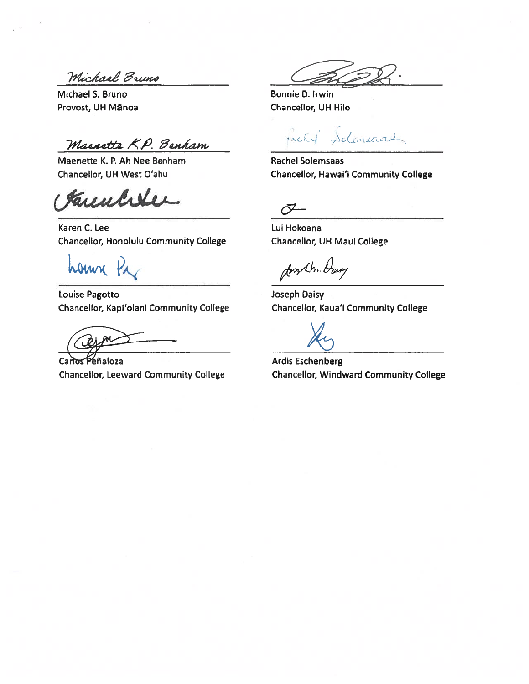Michael Bruno

Michael S. Bruno Provost, UH Mānoa

Macnette K.P. Benham

Maenette K. P. Ah Nee Benham Chancellor, UH West O'ahu

Kunchler

Karen C. Lee **Chancellor, Honolulu Community College** 

hann

Louise Pagotto Chancellor, Kapi'olani Community College

Carlos Peñaloza **Chancellor, Leeward Community College** 

Bonnie D. Irwin Chancellor, UH Hilo

Schmeaux rachel

**Rachel Solemsaas** Chancellor, Hawai'i Community College

 $\bar{C}$ 

Lui Hokoana Chancellor, UH Maui College

Jonkh. Dag

Joseph Daisy Chancellor, Kaua'i Community College

**Ardis Eschenberg Chancellor, Windward Community College**